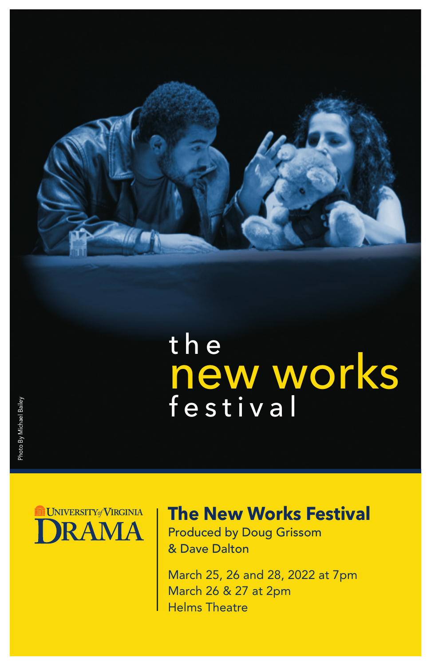

UNIVERSITY<sub>of</sub> VIRGINIA **RAMA** 

# **The New Works Festival**

Produced by Doug Grissom & Dave Dalton

March 25, 26 and 28, 2022 at 7pm March 26 & 27 at 2pm Helms Theatre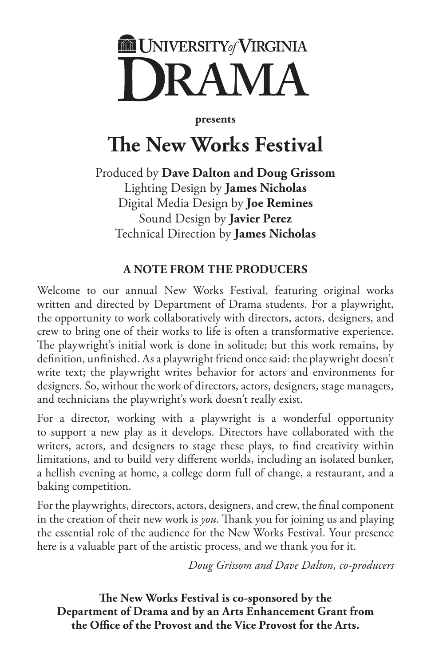# **WEDELL** UNIVERSITY of VIRGINIA RAMA

#### **presents**

# **The New Works Festival**

Produced by **Dave Dalton and Doug Grissom** Lighting Design by **James Nicholas** Digital Media Design by **Joe Remines** Sound Design by **Javier Perez** Technical Direction by **James Nicholas**

#### **A NOTE FROM THE PRODUCERS**

Welcome to our annual New Works Festival, featuring original works written and directed by Department of Drama students. For a playwright, the opportunity to work collaboratively with directors, actors, designers, and crew to bring one of their works to life is often a transformative experience. The playwright's initial work is done in solitude; but this work remains, by definition, unfinished. As a playwright friend once said: the playwright doesn't write text; the playwright writes behavior for actors and environments for designers. So, without the work of directors, actors, designers, stage managers, and technicians the playwright's work doesn't really exist.

For a director, working with a playwright is a wonderful opportunity to support a new play as it develops. Directors have collaborated with the writers, actors, and designers to stage these plays, to find creativity within limitations, and to build very different worlds, including an isolated bunker, a hellish evening at home, a college dorm full of change, a restaurant, and a baking competition.

For the playwrights, directors, actors, designers, and crew, the final component in the creation of their new work is *you*. Thank you for joining us and playing the essential role of the audience for the New Works Festival. Your presence here is a valuable part of the artistic process, and we thank you for it.

*Doug Grissom and Dave Dalton, co-producers*

**The New Works Festival is co-sponsored by the Department of Drama and by an Arts Enhancement Grant from the Office of the Provost and the Vice Provost for the Arts.**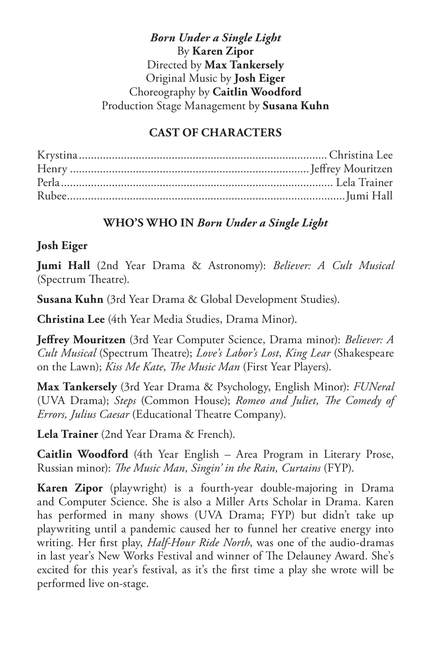*Born Under a Single Light* By **Karen Zipor** Directed by **Max Tankersely** Original Music by **Josh Eiger** Choreography by **Caitlin Woodford** Production Stage Management by **Susana Kuhn**

#### **CAST OF CHARACTERS**

#### **WHO'S WHO IN** *Born Under a Single Light*

#### **Josh Eiger**

**Jumi Hall** (2nd Year Drama & Astronomy): *Believer: A Cult Musical*  (Spectrum Theatre).

**Susana Kuhn** (3rd Year Drama & Global Development Studies).

**Christina Lee** (4th Year Media Studies, Drama Minor).

**Jeffrey Mouritzen** (3rd Year Computer Science, Drama minor): *Believer: A Cult Musical* (Spectrum Theatre); *Love's Labor's Lost*, *King Lear* (Shakespeare on the Lawn); *Kiss Me Kate*, *The Music Man* (First Year Players).

**Max Tankersely** (3rd Year Drama & Psychology, English Minor): *FUNeral* (UVA Drama); *Steps* (Common House); *Romeo and Juliet, The Comedy of Errors, Julius Caesar* (Educational Theatre Company).

**Lela Trainer** (2nd Year Drama & French).

**Caitlin Woodford** (4th Year English – Area Program in Literary Prose, Russian minor): *The Music Man, Singin' in the Rain, Curtains* (FYP).

**Karen Zipor** (playwright) is a fourth-year double-majoring in Drama and Computer Science. She is also a Miller Arts Scholar in Drama. Karen has performed in many shows (UVA Drama; FYP) but didn't take up playwriting until a pandemic caused her to funnel her creative energy into writing. Her first play, *Half-Hour Ride North*, was one of the audio-dramas in last year's New Works Festival and winner of The Delauney Award. She's excited for this year's festival, as it's the first time a play she wrote will be performed live on-stage.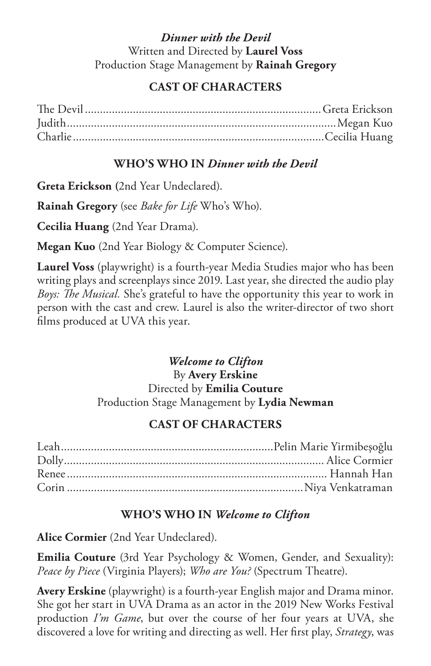#### *Dinner with the Devil* Written and Directed by **Laurel Voss** Production Stage Management by **Rainah Gregory**

#### **CAST OF CHARACTERS**

#### **WHO'S WHO IN** *Dinner with the Devil*

**Greta Erickson (**2nd Year Undeclared).

**Rainah Gregory** (see *Bake for Life* Who's Who).

**Cecilia Huang** (2nd Year Drama).

**Megan Kuo** (2nd Year Biology & Computer Science).

**Laurel Voss** (playwright) is a fourth-year Media Studies major who has been writing plays and screenplays since 2019. Last year, she directed the audio play *Boys: The Musical.* She's grateful to have the opportunity this year to work in person with the cast and crew. Laurel is also the writer-director of two short films produced at UVA this year.

#### *Welcome to Clifton*

By **Avery Erskine** Directed by **Emilia Couture** Production Stage Management by **Lydia Newman**

#### **CAST OF CHARACTERS**

#### **WHO'S WHO IN** *Welcome to Clifton*

**Alice Cormier** (2nd Year Undeclared).

**Emilia Couture** (3rd Year Psychology & Women, Gender, and Sexuality): *Peace by Piece* (Virginia Players); *Who are You?* (Spectrum Theatre).

**Avery Erskine** (playwright) is a fourth-year English major and Drama minor. She got her start in UVA Drama as an actor in the 2019 New Works Festival production *I'm Game*, but over the course of her four years at UVA, she discovered a love for writing and directing as well. Her first play, *Strategy*, was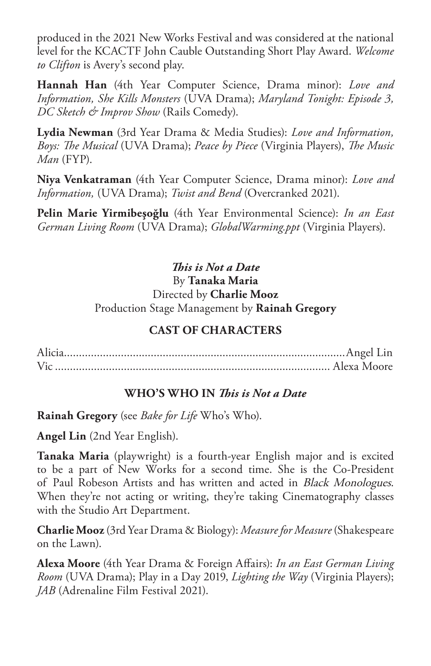produced in the 2021 New Works Festival and was considered at the national level for the KCACTF John Cauble Outstanding Short Play Award. *Welcome to Clifton* is Avery's second play.

**Hannah Han** (4th Year Computer Science, Drama minor): *Love and Information, She Kills Monsters* (UVA Drama); *Maryland Tonight: Episode 3, DC Sketch & Improv Show* (Rails Comedy).

**Lydia Newman** (3rd Year Drama & Media Studies): *Love and Information, Boys: The Musical* (UVA Drama); *Peace by Piece* (Virginia Players), *The Music Man* (FYP).

**Niya Venkatraman** (4th Year Computer Science, Drama minor): *Love and Information,* (UVA Drama); *Twist and Bend* (Overcranked 2021).

**Pelin Marie Yirmibeşoğlu** (4th Year Environmental Science): *In an East German Living Room* (UVA Drama); *GlobalWarming.ppt* (Virginia Players).

#### *This is Not a Date* By **Tanaka Maria** Directed by **Charlie Mooz** Production Stage Management by **Rainah Gregory**

#### **CAST OF CHARACTERS**

#### **WHO'S WHO IN** *This is Not a Date*

**Rainah Gregory** (see *Bake for Life* Who's Who).

**Angel Lin** (2nd Year English).

**Tanaka Maria** (playwright) is a fourth-year English major and is excited to be a part of New Works for a second time. She is the Co-President of Paul Robeson Artists and has written and acted in Black Monologues. When they're not acting or writing, they're taking Cinematography classes with the Studio Art Department.

**Charlie Mooz** (3rd Year Drama & Biology): *Measure for Measure* (Shakespeare on the Lawn).

**Alexa Moore** (4th Year Drama & Foreign Affairs): *In an East German Living Room* (UVA Drama); Play in a Day 2019, *Lighting the Way* (Virginia Players); *JAB* (Adrenaline Film Festival 2021).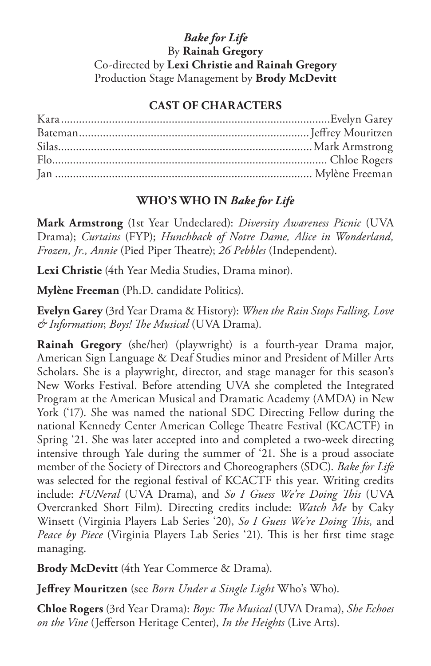#### *Bake for Life* By **Rainah Gregory** Co-directed by **Lexi Christie and Rainah Gregory** Production Stage Management by **Brody McDevitt**

#### **CAST OF CHARACTERS**

#### **WHO'S WHO IN** *Bake for Life*

**Mark Armstrong** (1st Year Undeclared): *Diversity Awareness Picnic* (UVA Drama); *Curtains* (FYP); *Hunchback of Notre Dame, Alice in Wonderland, Frozen, Jr., Annie* (Pied Piper Theatre); *26 Pebbles* (Independent).

**Lexi Christie** (4th Year Media Studies, Drama minor).

**Mylène Freeman** (Ph.D. candidate Politics).

**Evelyn Garey** (3rd Year Drama & History): *When the Rain Stops Falling, Love & Information*; *Boys! The Musical* (UVA Drama).

**Rainah Gregory** (she/her) (playwright) is a fourth-year Drama major, American Sign Language & Deaf Studies minor and President of Miller Arts Scholars. She is a playwright, director, and stage manager for this season's New Works Festival. Before attending UVA she completed the Integrated Program at the American Musical and Dramatic Academy (AMDA) in New York ('17). She was named the national SDC Directing Fellow during the national Kennedy Center American College Theatre Festival (KCACTF) in Spring '21. She was later accepted into and completed a two-week directing intensive through Yale during the summer of '21. She is a proud associate member of the Society of Directors and Choreographers (SDC). *Bake for Life*  was selected for the regional festival of KCACTF this year. Writing credits include: *FUNeral* (UVA Drama), and *So I Guess We're Doing This* (UVA Overcranked Short Film). Directing credits include: *Watch Me* by Caky Winsett (Virginia Players Lab Series '20), *So I Guess We're Doing This,* and *Peace by Piece* (Virginia Players Lab Series '21). This is her first time stage managing.

**Brody McDevitt** (4th Year Commerce & Drama).

**Jeffrey Mouritzen** (see *Born Under a Single Light* Who's Who).

**Chloe Rogers** (3rd Year Drama): *Boys: The Musical* (UVA Drama), *She Echoes on the Vine* (Jefferson Heritage Center), *In the Heights* (Live Arts).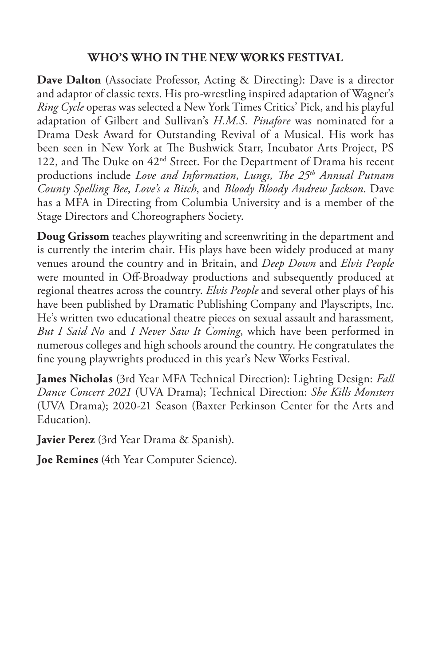#### **WHO'S WHO IN THE NEW WORKS FESTIVAL**

**Dave Dalton** (Associate Professor, Acting & Directing): Dave is a director and adaptor of classic texts. His pro-wrestling inspired adaptation of Wagner's *Ring Cycle* operas was selected a New York Times Critics' Pick, and his playful adaptation of Gilbert and Sullivan's *H.M.S. Pinafore* was nominated for a Drama Desk Award for Outstanding Revival of a Musical. His work has been seen in New York at The Bushwick Starr, Incubator Arts Project, PS 122, and The Duke on  $42^{\text{nd}}$  Street. For the Department of Drama his recent productions include *Love and Information, Lungs, The 25th Annual Putnam County Spelling Bee*, *Love's a Bitch*, and *Bloody Bloody Andrew Jackson*. Dave has a MFA in Directing from Columbia University and is a member of the Stage Directors and Choreographers Society.

**Doug Grissom** teaches playwriting and screenwriting in the department and is currently the interim chair. His plays have been widely produced at many venues around the country and in Britain, and *Deep Down* and *Elvis People* were mounted in Off-Broadway productions and subsequently produced at regional theatres across the country. *Elvis People* and several other plays of his have been published by Dramatic Publishing Company and Playscripts, Inc. He's written two educational theatre pieces on sexual assault and harassment*, But I Said No* and *I Never Saw It Coming*, which have been performed in numerous colleges and high schools around the country. He congratulates the fine young playwrights produced in this year's New Works Festival.

**James Nicholas** (3rd Year MFA Technical Direction): Lighting Design: *Fall Dance Concert 2021* (UVA Drama); Technical Direction: *She Kills Monsters* (UVA Drama); 2020-21 Season (Baxter Perkinson Center for the Arts and Education).

**Javier Perez** (3rd Year Drama & Spanish).

**Joe Remines** (4th Year Computer Science).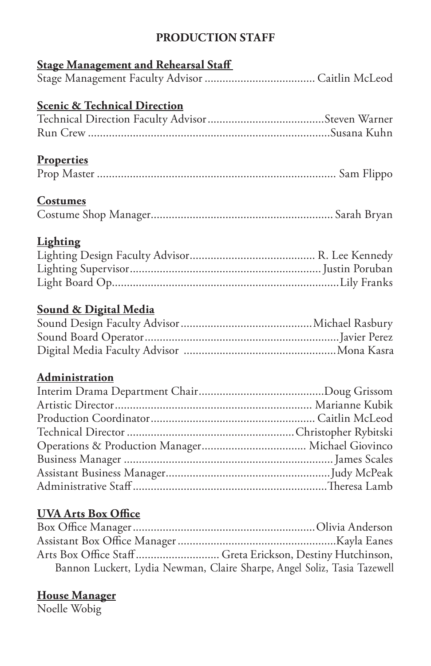#### **PRODUCTION STAFF**

## **Stage Management and Rehearsal Staff**  Stage Management Faculty Advisor ..................................... Caitlin McLeod **Scenic & Technical Direction** Technical Direction Faculty Advisor.......................................Steven Warner Run Crew .................................................................................Susana Kuhn **Properties** Prop Master ................................................................................ Sam Flippo **Costumes** Costume Shop Manager............................................................. Sarah Bryan **Lighting** Lighting Design Faculty Advisor.......................................... R. Lee Kennedy Lighting Supervisor................................................................Justin Poruban Light Board Op............................................................................Lily Franks **Sound & Digital Media** Sound Design Faculty Advisor............................................Michael Rasbury Sound Board Operator.................................................................Javier Perez Digital Media Faculty Advisor ...................................................Mona Kasra **Administration** Interim Drama Department Chair..........................................Doug Grissom Artistic Director.................................................................. Marianne Kubik Production Coordinator....................................................... Caitlin McLeod Technical Director ........................................................Christopher Rybitski Operations & Production Manager................................... Michael Giovinco Business Manager ......................................................................James Scales Assistant Business Manager.......................................................Judy McPeak Administrative Staff .................................................................Theresa Lamb **UVA Arts Box Office** Box Office Manager.............................................................Olivia Anderson

Assistant Box Office Manager.....................................................Kayla Eanes Arts Box Office Staff............................ Greta Erickson, Destiny Hutchinson, Bannon Luckert, Lydia Newman, Claire Sharpe, Angel Soliz, Tasia Tazewell

#### **House Manager**

Noelle Wobig